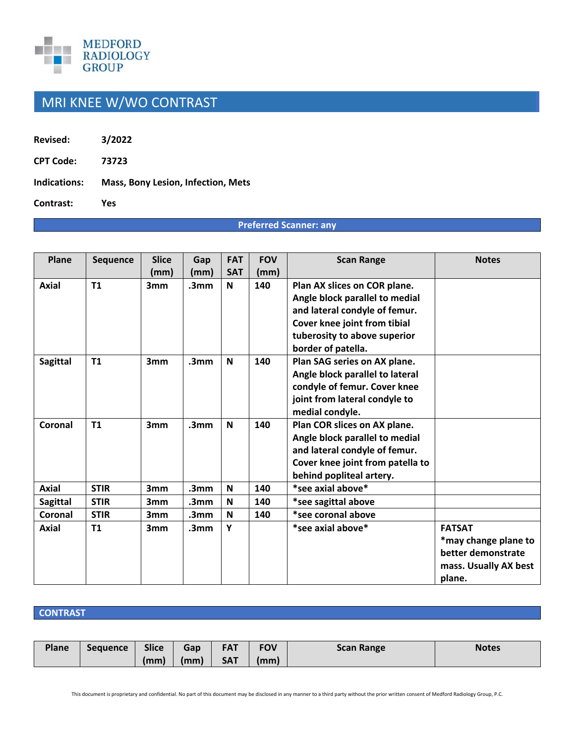

## MRI KNEE W/WO CONTRAST

**Revised: 3/2022** 

**CPT Code: 73723** 

**Indications: Mass, Bony Lesion, Infection, Mets** 

**Contrast: Yes** 

## **Preferred Scanner: any**

| Plane           | <b>Sequence</b> | <b>Slice</b>    | Gap              | <b>FAT</b> | <b>FOV</b> | <b>Scan Range</b>                | <b>Notes</b>          |
|-----------------|-----------------|-----------------|------------------|------------|------------|----------------------------------|-----------------------|
|                 |                 | (mm)            | (mm)             | <b>SAT</b> | (mm)       |                                  |                       |
| <b>Axial</b>    | T1              | 3mm             | .3 <sub>mm</sub> | N          | 140        | Plan AX slices on COR plane.     |                       |
|                 |                 |                 |                  |            |            | Angle block parallel to medial   |                       |
|                 |                 |                 |                  |            |            | and lateral condyle of femur.    |                       |
|                 |                 |                 |                  |            |            | Cover knee joint from tibial     |                       |
|                 |                 |                 |                  |            |            | tuberosity to above superior     |                       |
|                 |                 |                 |                  |            |            | border of patella.               |                       |
| <b>Sagittal</b> | T1              | 3mm             | .3 <sub>mm</sub> | N          | 140        | Plan SAG series on AX plane.     |                       |
|                 |                 |                 |                  |            |            | Angle block parallel to lateral  |                       |
|                 |                 |                 |                  |            |            | condyle of femur. Cover knee     |                       |
|                 |                 |                 |                  |            |            | joint from lateral condyle to    |                       |
|                 |                 |                 |                  |            |            | medial condyle.                  |                       |
| Coronal         | T1              | 3mm             | .3 <sub>mm</sub> | N          | 140        | Plan COR slices on AX plane.     |                       |
|                 |                 |                 |                  |            |            | Angle block parallel to medial   |                       |
|                 |                 |                 |                  |            |            | and lateral condyle of femur.    |                       |
|                 |                 |                 |                  |            |            | Cover knee joint from patella to |                       |
|                 |                 |                 |                  |            |            | behind popliteal artery.         |                       |
| <b>Axial</b>    | <b>STIR</b>     | 3mm             | .3mm             | N          | 140        | *see axial above*                |                       |
| <b>Sagittal</b> | <b>STIR</b>     | 3 <sub>mm</sub> | .3mm             | N          | 140        | *see sagittal above              |                       |
| Coronal         | <b>STIR</b>     | 3 <sub>mm</sub> | .3 <sub>mm</sub> | N          | 140        | *see coronal above               |                       |
| Axial           | <b>T1</b>       | 3mm             | .3 <sub>mm</sub> | Y          |            | *see axial above*                | <b>FATSAT</b>         |
|                 |                 |                 |                  |            |            |                                  | *may change plane to  |
|                 |                 |                 |                  |            |            |                                  | better demonstrate    |
|                 |                 |                 |                  |            |            |                                  | mass. Usually AX best |
|                 |                 |                 |                  |            |            |                                  | plane.                |

## **CONTRAST**

| Plane | <b>Sequence</b> | <b>Slice</b> | Gap  | <b>FAT</b> | <b>FOV</b> | <b>Scan Range</b> | <b>Notes</b> |
|-------|-----------------|--------------|------|------------|------------|-------------------|--------------|
|       |                 | (mm)         | (mm) | <b>SAT</b> | (mm)       |                   |              |